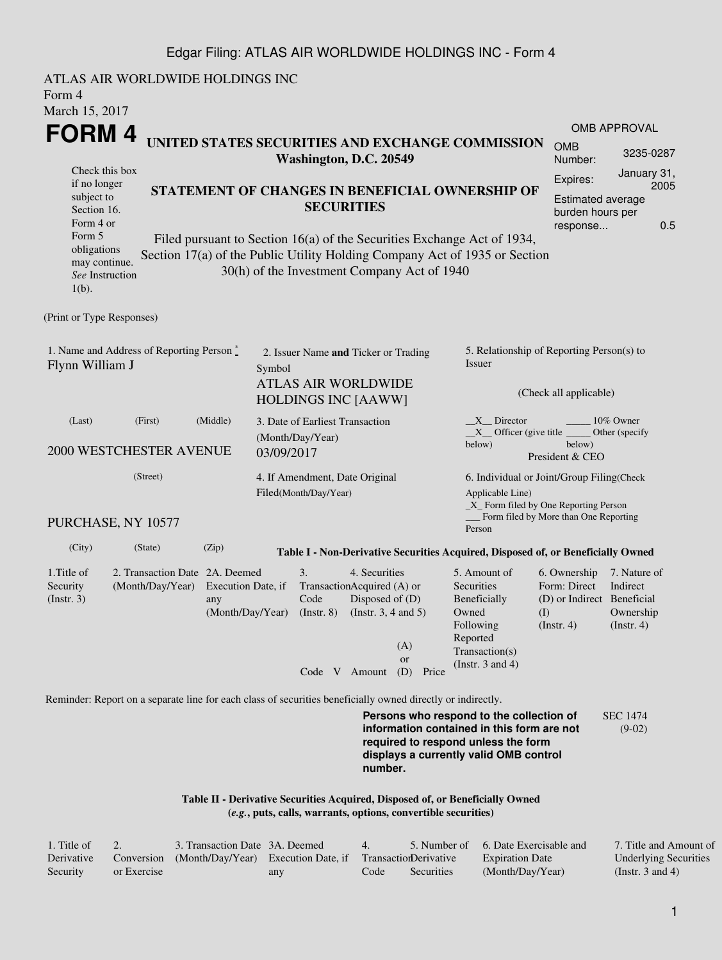## Edgar Filing: ATLAS AIR WORLDWIDE HOLDINGS INC - Form 4

ATLAS AIR WORLDWIDE HOLDINGS INC Form 4 March 15, 2017 **FORM 4** Check this box if no longer subject to Section 16. Form 4 or Form 5 obligations may continue. *See* Instruction 1(b). **UNITED STATES SECURITIES AND EXCHANGE COMMISSION Washington, D.C. 20549 STATEMENT OF CHANGES IN BENEFICIAL OWNERSHIP OF SECURITIES** Filed pursuant to Section 16(a) of the Securities Exchange Act of 1934, Section 17(a) of the Public Utility Holding Company Act of 1935 or Section 30(h) of the Investment Company Act of 1940 OMB APPROVAL OMB Number: 3235-0287 Expires: January 31, 2005 Estimated average burden hours per response... 0.5 (Print or Type Responses) 1. Name and Address of Reporting Person  $\degree$ Flynn William J 2. Issuer Name **and** Ticker or Trading Symbol ATLAS AIR WORLDWIDE HOLDINGS INC [AAWW] 5. Relationship of Reporting Person(s) to Issuer (Check all applicable) \_X\_\_ Director \_\_\_\_\_\_\_\_ 10% Owner \_\_X\_\_ Officer (give title below) Other (specify below) President & CEO (Last) (First) (Middle) 2000 WESTCHESTER AVENUE 3. Date of Earliest Transaction (Month/Day/Year) 03/09/2017 (Street) PURCHASE, NY 10577 4. If Amendment, Date Original Filed(Month/Day/Year) 6. Individual or Joint/Group Filing(Check Applicable Line) \_X\_ Form filed by One Reporting Person Form filed by More than One Reporting Person (City) (State) (Zip) **Table I - Non-Derivative Securities Acquired, Disposed of, or Beneficially Owned** 1.Title of Security (Instr. 3) 2. Transaction Date 2A. Deemed (Month/Day/Year) Execution Date, if any (Month/Day/Year) 3. Transaction Acquired (A) or Code  $($ Instr.  $8)$ 4. Securities Disposed of (D) (Instr. 3, 4 and 5) 5. Amount of **Securities** Beneficially Owned Following Reported Transaction(s) (Instr. 3 and 4) 6. Ownership Form: Direct (D) or Indirect Beneficial (I) (Instr. 4) 7. Nature of Indirect Ownership (Instr. 4) Code V Amount (D) Price (A) or Reminder: Report on a separate line for each class of securities beneficially owned directly or indirectly. **Persons who respond to the collection of information contained in this form are not required to respond unless the form displays a currently valid OMB control** SEC 1474 (9-02)

> **Table II - Derivative Securities Acquired, Disposed of, or Beneficially Owned (***e.g.***, puts, calls, warrants, options, convertible securities)**

| 1. Title of |             | 3. Transaction Date 3A. Deemed                                        |     |      |            | 5. Number of 6. Date Exercisable and | 7. Title and Amount of       |
|-------------|-------------|-----------------------------------------------------------------------|-----|------|------------|--------------------------------------|------------------------------|
| Derivative  |             | Conversion (Month/Day/Year) Execution Date, if Transaction Derivative |     |      |            | <b>Expiration Date</b>               | <b>Underlying Securities</b> |
| Security    | or Exercise |                                                                       | any | Code | Securities | (Month/Day/Year)                     | (Instr. 3 and 4)             |

**number.**